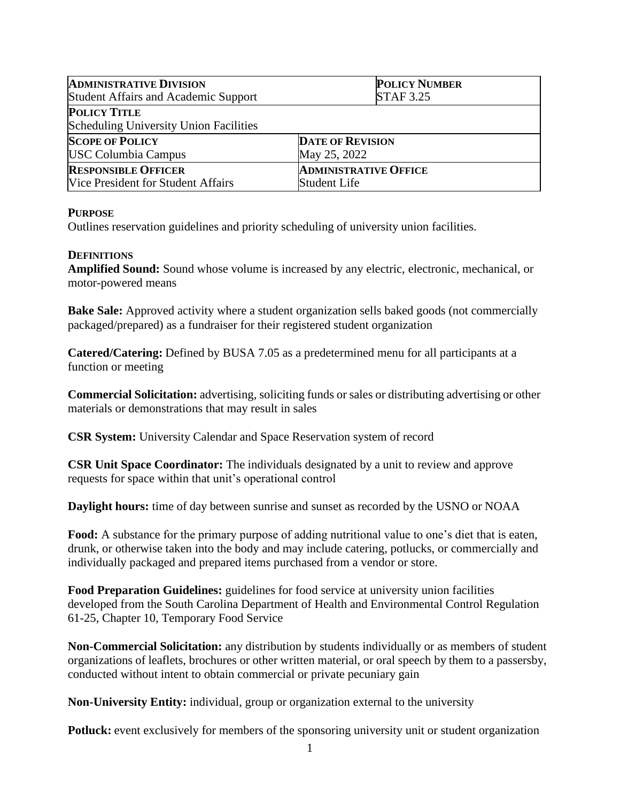| <b>ADMINISTRATIVE DIVISION</b>                                | <b>POLICY NUMBER</b>         |
|---------------------------------------------------------------|------------------------------|
| Student Affairs and Academic Support                          | <b>STAF 3.25</b>             |
| <b>POLICY TITLE</b><br>Scheduling University Union Facilities |                              |
| <b>SCOPE OF POLICY</b>                                        | <b>DATE OF REVISION</b>      |
| <b>USC Columbia Campus</b>                                    | May 25, 2022                 |
| <b>RESPONSIBLE OFFICER</b>                                    | <b>ADMINISTRATIVE OFFICE</b> |
| Vice President for Student Affairs                            | Student Life                 |

## **PURPOSE**

Outlines reservation guidelines and priority scheduling of university union facilities.

## **DEFINITIONS**

**Amplified Sound:** Sound whose volume is increased by any electric, electronic, mechanical, or motor-powered means

**Bake Sale:** Approved activity where a student organization sells baked goods (not commercially packaged/prepared) as a fundraiser for their registered student organization

**Catered/Catering:** Defined by BUSA 7.05 as a predetermined menu for all participants at a function or meeting

**Commercial Solicitation:** advertising, soliciting funds or sales or distributing advertising or other materials or demonstrations that may result in sales

**CSR System:** University Calendar and Space Reservation system of record

**CSR Unit Space Coordinator:** The individuals designated by a unit to review and approve requests for space within that unit's operational control

**Daylight hours:** time of day between sunrise and sunset as recorded by the USNO or NOAA

**Food:** A substance for the primary purpose of adding nutritional value to one's diet that is eaten, drunk, or otherwise taken into the body and may include catering, potlucks, or commercially and individually packaged and prepared items purchased from a vendor or store.

**Food Preparation Guidelines:** guidelines for food service at university union facilities developed from the South Carolina Department of Health and Environmental Control Regulation 61-25, Chapter 10, Temporary Food Service

**Non-Commercial Solicitation:** any distribution by students individually or as members of student organizations of leaflets, brochures or other written material, or oral speech by them to a passersby, conducted without intent to obtain commercial or private pecuniary gain

**Non-University Entity:** individual, group or organization external to the university

**Potluck:** event exclusively for members of the sponsoring university unit or student organization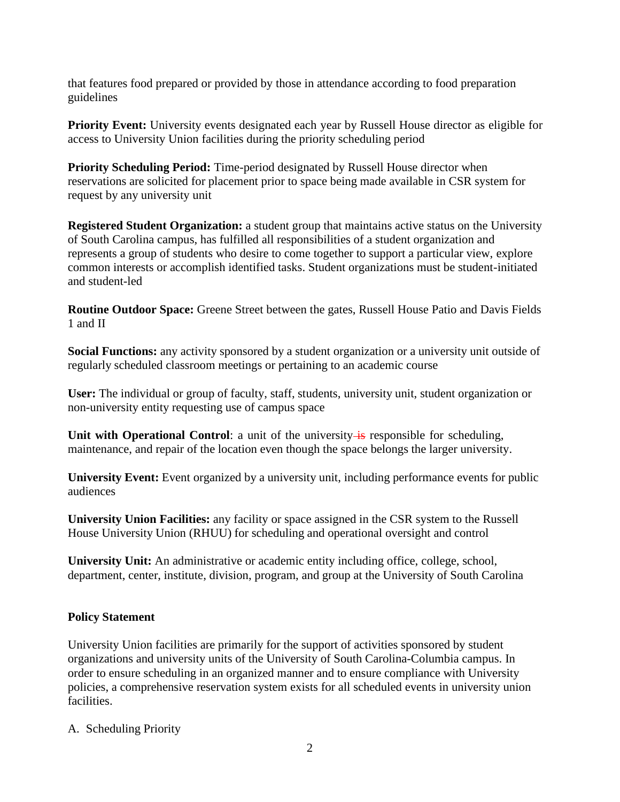that features food prepared or provided by those in attendance according to food preparation guidelines

**Priority Event:** University events designated each year by Russell House director as eligible for access to University Union facilities during the priority scheduling period

**Priority Scheduling Period:** Time-period designated by Russell House director when reservations are solicited for placement prior to space being made available in CSR system for request by any university unit

**Registered Student Organization:** a student group that maintains active status on the University of South Carolina campus, has fulfilled all responsibilities of a student organization and represents a group of students who desire to come together to support a particular view, explore common interests or accomplish identified tasks. Student organizations must be student-initiated and student-led

**Routine Outdoor Space:** Greene Street between the gates, Russell House Patio and Davis Fields 1 and II

**Social Functions:** any activity sponsored by a student organization or a university unit outside of regularly scheduled classroom meetings or pertaining to an academic course

**User:** The individual or group of faculty, staff, students, university unit, student organization or non-university entity requesting use of campus space

**Unit** with **Operational Control**: a unit of the university is responsible for scheduling, maintenance, and repair of the location even though the space belongs the larger university.

**University Event:** Event organized by a university unit, including performance events for public audiences

**University Union Facilities:** any facility or space assigned in the CSR system to the Russell House University Union (RHUU) for scheduling and operational oversight and control

**University Unit:** An administrative or academic entity including office, college, school, department, center, institute, division, program, and group at the University of South Carolina

# **Policy Statement**

University Union facilities are primarily for the support of activities sponsored by student organizations and university units of the University of South Carolina-Columbia campus. In order to ensure scheduling in an organized manner and to ensure compliance with University policies, a comprehensive reservation system exists for all scheduled events in university union facilities.

A. Scheduling Priority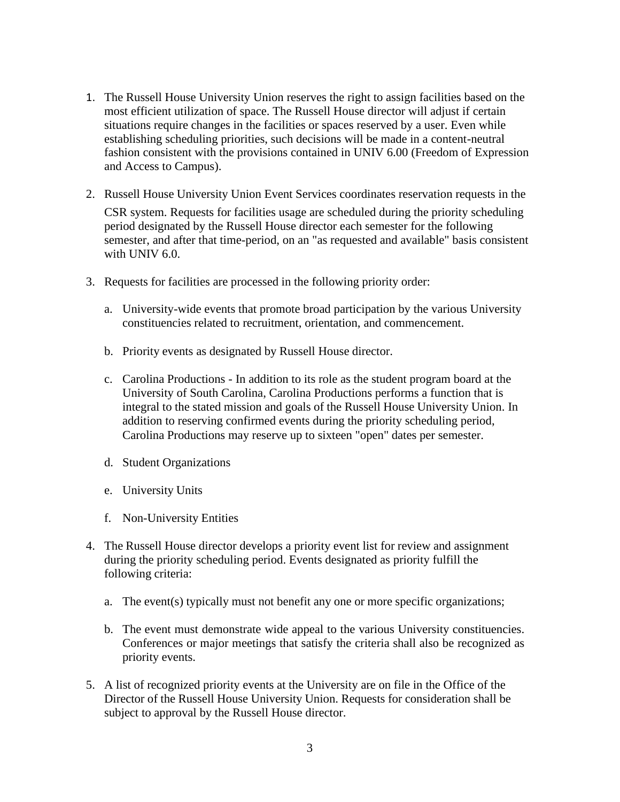- 1. The Russell House University Union reserves the right to assign facilities based on the most efficient utilization of space. The Russell House director will adjust if certain situations require changes in the facilities or spaces reserved by a user. Even while establishing scheduling priorities, such decisions will be made in a content-neutral fashion consistent with the provisions contained in UNIV 6.00 (Freedom of Expression and Access to Campus).
- 2. Russell House University Union Event Services coordinates reservation requests in the CSR system. Requests for facilities usage are scheduled during the priority scheduling period designated by the Russell House director each semester for the following semester, and after that time-period, on an "as requested and available" basis consistent with UNIV 6.0.
- 3. Requests for facilities are processed in the following priority order:
	- a. University-wide events that promote broad participation by the various University constituencies related to recruitment, orientation, and commencement.
	- b. Priority events as designated by Russell House director.
	- c. Carolina Productions In addition to its role as the student program board at the University of South Carolina, Carolina Productions performs a function that is integral to the stated mission and goals of the Russell House University Union. In addition to reserving confirmed events during the priority scheduling period, Carolina Productions may reserve up to sixteen "open" dates per semester.
	- d. Student Organizations
	- e. University Units
	- f. Non-University Entities
- 4. The Russell House director develops a priority event list for review and assignment during the priority scheduling period. Events designated as priority fulfill the following criteria:
	- a. The event(s) typically must not benefit any one or more specific organizations;
	- b. The event must demonstrate wide appeal to the various University constituencies. Conferences or major meetings that satisfy the criteria shall also be recognized as priority events.
- 5. A list of recognized priority events at the University are on file in the Office of the Director of the Russell House University Union. Requests for consideration shall be subject to approval by the Russell House director.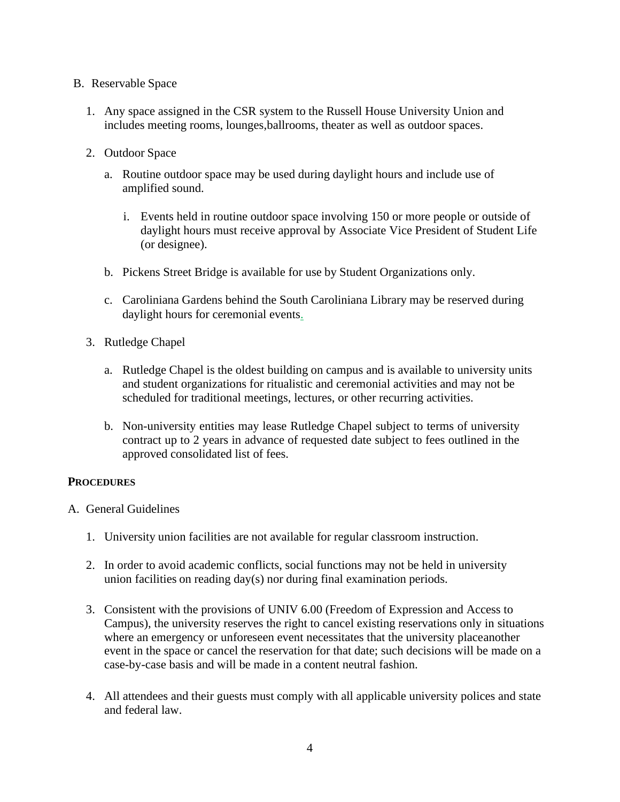- B. Reservable Space
	- 1. Any space assigned in the CSR system to the Russell House University Union and includes meeting rooms, lounges,ballrooms, theater as well as outdoor spaces.
	- 2. Outdoor Space
		- a. Routine outdoor space may be used during daylight hours and include use of amplified sound.
			- i. Events held in routine outdoor space involving 150 or more people or outside of daylight hours must receive approval by Associate Vice President of Student Life (or designee).
		- b. Pickens Street Bridge is available for use by Student Organizations only.
		- c. Caroliniana Gardens behind the South Caroliniana Library may be reserved during daylight hours for ceremonial events.
	- 3. Rutledge Chapel
		- a. Rutledge Chapel is the oldest building on campus and is available to university units and student organizations for ritualistic and ceremonial activities and may not be scheduled for traditional meetings, lectures, or other recurring activities.
		- b. Non-university entities may lease Rutledge Chapel subject to terms of university contract up to 2 years in advance of requested date subject to fees outlined in the approved consolidated list of fees.

## **PROCEDURES**

- A. General Guidelines
	- 1. University union facilities are not available for regular classroom instruction.
	- 2. In order to avoid academic conflicts, social functions may not be held in university union facilities on reading day(s) nor during final examination periods.
	- 3. Consistent with the provisions of UNIV 6.00 (Freedom of Expression and Access to Campus), the university reserves the right to cancel existing reservations only in situations where an emergency or unforeseen event necessitates that the university placeanother event in the space or cancel the reservation for that date; such decisions will be made on a case-by-case basis and will be made in a content neutral fashion.
	- 4. All attendees and their guests must comply with all applicable university polices and state and federal law.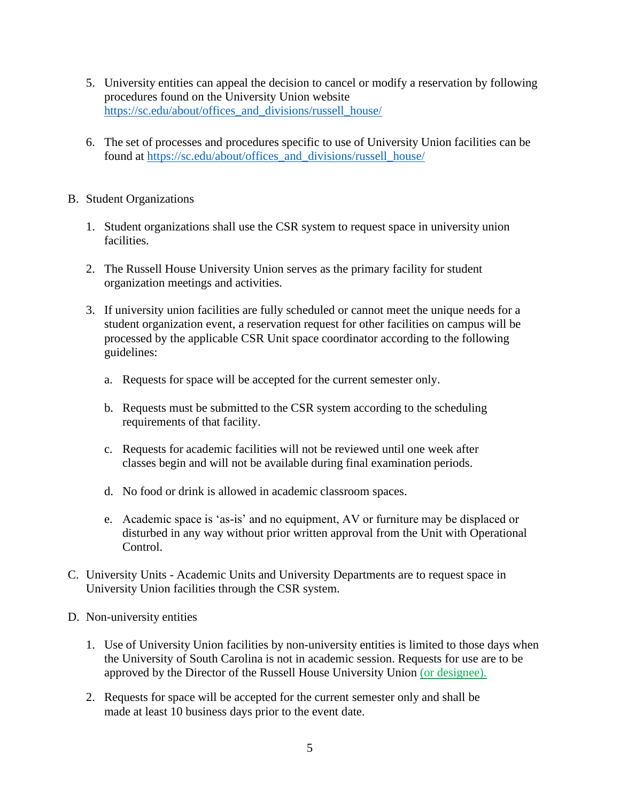- 5. University entities can appeal the decision to cancel or modify a reservation by following procedures found on the University Union website [https://sc.edu/about/offices\\_and\\_divisions/russell\\_house/](https://sc.edu/about/offices_and_divisions/russell_house/)
- 6. The set of processes and procedures specific to use of University Union facilities can be found at [https://sc.edu/about/offices\\_and\\_divisions/russell\\_house/](https://sc.edu/about/offices_and_divisions/russell_house/)

## B. Student Organizations

- 1. Student organizations shall use the CSR system to request space in university union facilities.
- 2. The Russell House University Union serves as the primary facility for student organization meetings and activities.
- 3. If university union facilities are fully scheduled or cannot meet the unique needs for a student organization event, a reservation request for other facilities on campus will be processed by the applicable CSR Unit space coordinator according to the following guidelines:
	- a. Requests for space will be accepted for the current semester only.
	- b. Requests must be submitted to the CSR system according to the scheduling requirements of that facility.
	- c. Requests for academic facilities will not be reviewed until one week after classes begin and will not be available during final examination periods.
	- d. No food or drink is allowed in academic classroom spaces.
	- e. Academic space is 'as-is' and no equipment, AV or furniture may be displaced or disturbed in any way without prior written approval from the Unit with Operational Control.
- C. University Units Academic Units and University Departments are to request space in University Union facilities through the CSR system.
- D. Non-university entities
	- 1. Use of University Union facilities by non-university entities is limited to those days when the University of South Carolina is not in academic session. Requests for use are to be approved by the Director of the Russell House University Union (or designee).
	- 2. Requests for space will be accepted for the current semester only and shall be made at least 10 business days prior to the event date.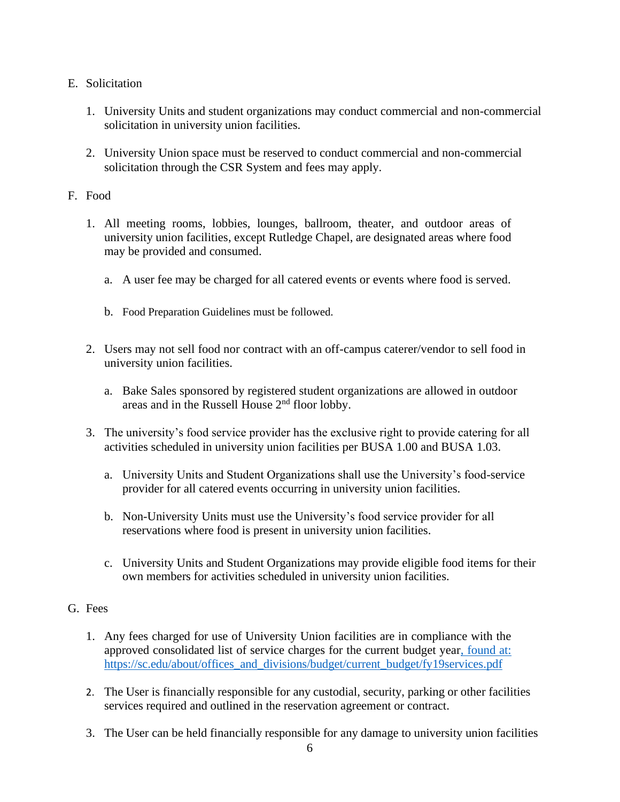# E. Solicitation

- 1. University Units and student organizations may conduct commercial and non-commercial solicitation in university union facilities.
- 2. University Union space must be reserved to conduct commercial and non-commercial solicitation through the CSR System and fees may apply.

# F. Food

- 1. All meeting rooms, lobbies, lounges, ballroom, theater, and outdoor areas of university union facilities, except Rutledge Chapel, are designated areas where food may be provided and consumed.
	- a. A user fee may be charged for all catered events or events where food is served.
	- b. Food Preparation Guidelines must be followed.
- 2. Users may not sell food nor contract with an off-campus caterer/vendor to sell food in university union facilities.
	- a. Bake Sales sponsored by registered student organizations are allowed in outdoor areas and in the Russell House 2nd floor lobby.
- 3. The university's food service provider has the exclusive right to provide catering for all activities scheduled in university union facilities per BUSA 1.00 and BUSA 1.03.
	- a. University Units and Student Organizations shall use the University's food-service provider for all catered events occurring in university union facilities.
	- b. Non-University Units must use the University's food service provider for all reservations where food is present in university union facilities.
	- c. University Units and Student Organizations may provide eligible food items for their own members for activities scheduled in university union facilities.

# G. Fees

- 1. Any fees charged for use of University Union facilities are in compliance with the approved consolidated list of service charges for the current budget year, found at: https://sc.edu/about/offices\_and\_divisions/budget/current\_budget/fy19services.pdf
- 2. The User is financially responsible for any custodial, security, parking or other facilities services required and outlined in the reservation agreement or contract.
- 3. The User can be held financially responsible for any damage to university union facilities